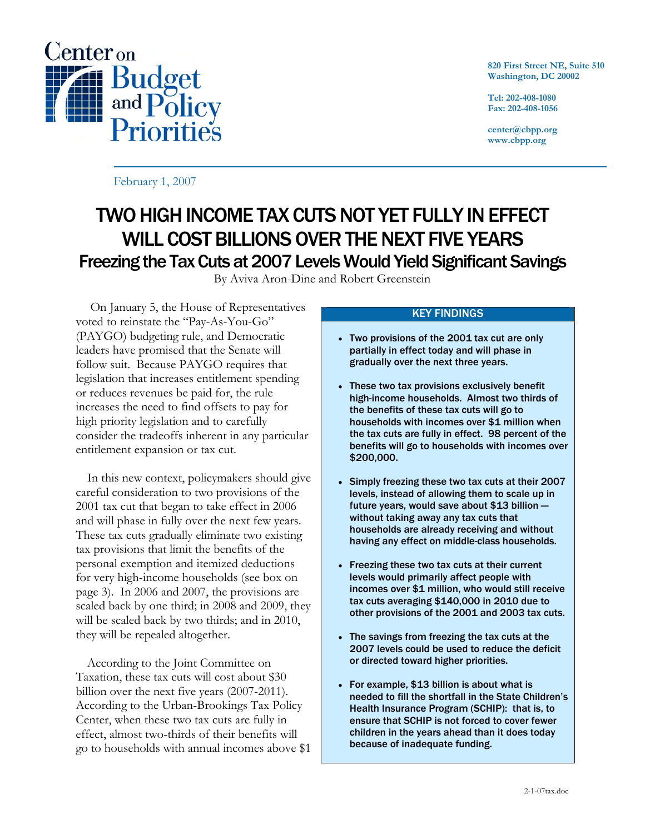

**820 First Street NE, Suite 510 Washington, DC 20002** 

**Tel: 202-408-1080 Fax: 202-408-1056** 

**center@cbpp.org www.cbpp.org** 

February 1, 2007

# TWO HIGH INCOME TAX CUTS NOT YET FULLY IN EFFECT WILL COST BILLIONS OVER THE NEXT FIVE YEARS Freezing the Tax Cuts at 2007 Levels Would Yield Significant Savings

By Aviva Aron-Dine and Robert Greenstein

 On January 5, the House of Representatives voted to reinstate the "Pay-As-You-Go" (PAYGO) budgeting rule, and Democratic leaders have promised that the Senate will follow suit. Because PAYGO requires that legislation that increases entitlement spending or reduces revenues be paid for, the rule increases the need to find offsets to pay for high priority legislation and to carefully consider the tradeoffs inherent in any particular entitlement expansion or tax cut.

 In this new context, policymakers should give careful consideration to two provisions of the 2001 tax cut that began to take effect in 2006 and will phase in fully over the next few years. These tax cuts gradually eliminate two existing tax provisions that limit the benefits of the personal exemption and itemized deductions for very high-income households (see box on page 3). In 2006 and 2007, the provisions are scaled back by one third; in 2008 and 2009, they will be scaled back by two thirds; and in 2010, they will be repealed altogether.

 According to the Joint Committee on Taxation, these tax cuts will cost about \$30 billion over the next five years (2007-2011). According to the Urban-Brookings Tax Policy Center, when these two tax cuts are fully in effect, almost two-thirds of their benefits will go to households with annual incomes above \$1

## KEY FINDINGS

- Two provisions of the 2001 tax cut are only partially in effect today and will phase in gradually over the next three years.
- These two tax provisions exclusively benefit high-income households. Almost two thirds of the benefits of these tax cuts will go to households with incomes over \$1 million when the tax cuts are fully in effect. 98 percent of the benefits will go to households with incomes over \$200,000.
- Simply freezing these two tax cuts at their 2007 levels, instead of allowing them to scale up in future years, would save about \$13 billion without taking away any tax cuts that households are already receiving and without having any effect on middle-class households.
- Freezing these two tax cuts at their current levels would primarily affect people with incomes over \$1 million, who would still receive tax cuts averaging \$140,000 in 2010 due to other provisions of the 2001 and 2003 tax cuts.
- The savings from freezing the tax cuts at the 2007 levels could be used to reduce the deficit or directed toward higher priorities.
- For example, \$13 billion is about what is needed to fill the shortfall in the State Children's Health Insurance Program (SCHIP): that is, to ensure that SCHIP is not forced to cover fewer children in the years ahead than it does today because of inadequate funding.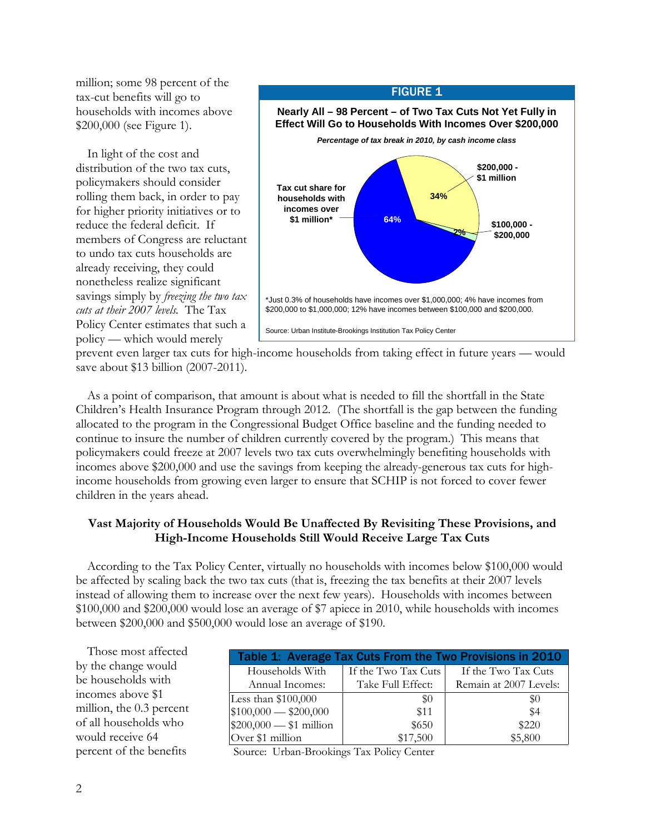million; some 98 percent of the tax-cut benefits will go to households with incomes above \$200,000 (see Figure 1).

 In light of the cost and distribution of the two tax cuts, policymakers should consider rolling them back, in order to pay for higher priority initiatives or to reduce the federal deficit. If members of Congress are reluctant to undo tax cuts households are already receiving, they could nonetheless realize significant savings simply by *freezing the two tax cuts at their 2007 levels.* The Tax Policy Center estimates that such a policy — which would merely



prevent even larger tax cuts for high-income households from taking effect in future years — would save about \$13 billion (2007-2011).

 As a point of comparison, that amount is about what is needed to fill the shortfall in the State Children's Health Insurance Program through 2012. (The shortfall is the gap between the funding allocated to the program in the Congressional Budget Office baseline and the funding needed to continue to insure the number of children currently covered by the program.) This means that policymakers could freeze at 2007 levels two tax cuts overwhelmingly benefiting households with incomes above \$200,000 and use the savings from keeping the already-generous tax cuts for highincome households from growing even larger to ensure that SCHIP is not forced to cover fewer children in the years ahead.

## **Vast Majority of Households Would Be Unaffected By Revisiting These Provisions, and High-Income Households Still Would Receive Large Tax Cuts**

According to the Tax Policy Center, virtually no households with incomes below \$100,000 would be affected by scaling back the two tax cuts (that is, freezing the tax benefits at their 2007 levels instead of allowing them to increase over the next few years). Households with incomes between \$100,000 and \$200,000 would lose an average of \$7 apiece in 2010, while households with incomes between \$200,000 and \$500,000 would lose an average of \$190.

| Those most affected      | Table 1: Average Tax Cuts From the Two Provisions in 2010 |                     |                        |
|--------------------------|-----------------------------------------------------------|---------------------|------------------------|
| by the change would      | Households With                                           | If the Two Tax Cuts | If the Two Tax Cuts    |
| be households with       | Annual Incomes:                                           | Take Full Effect:   | Remain at 2007 Levels: |
| incomes above \$1        | Less than \$100,000                                       | \$0                 | \$0                    |
| million, the 0.3 percent | $$100,000 \rightarrow $200,000$                           | \$11                | \$4                    |
| of all households who    | $$200,000$ - \$1 million                                  | \$650               | \$220                  |
| would receive 64         | Over \$1 million                                          | \$17,500            | \$5,800                |
| percent of the benefits  | Source: Urban-Brookings Tax Policy Center                 |                     |                        |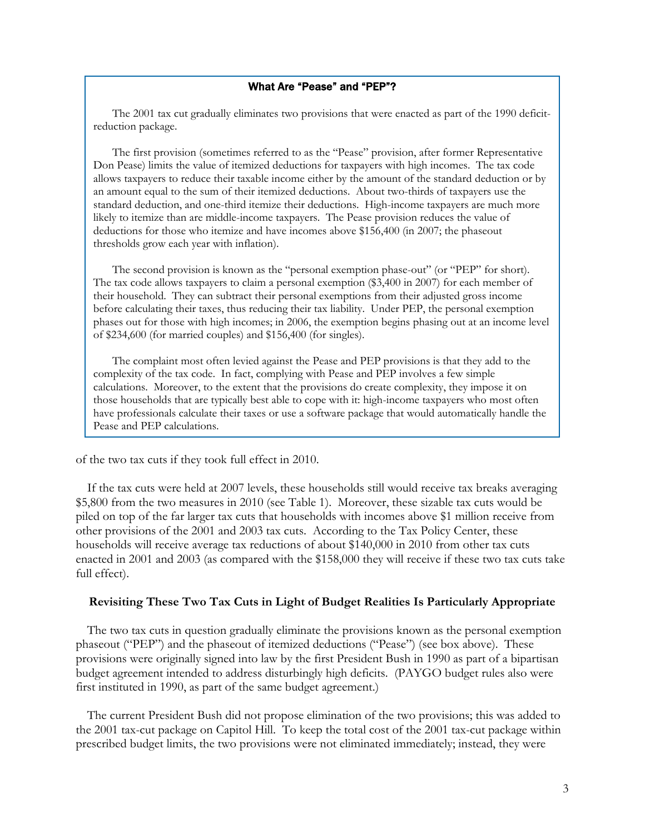### What Are "Pease" and "PEP"?

The 2001 tax cut gradually eliminates two provisions that were enacted as part of the 1990 deficitreduction package.

The first provision (sometimes referred to as the "Pease" provision, after former Representative Don Pease) limits the value of itemized deductions for taxpayers with high incomes. The tax code allows taxpayers to reduce their taxable income either by the amount of the standard deduction or by an amount equal to the sum of their itemized deductions. About two-thirds of taxpayers use the standard deduction, and one-third itemize their deductions. High-income taxpayers are much more likely to itemize than are middle-income taxpayers. The Pease provision reduces the value of deductions for those who itemize and have incomes above \$156,400 (in 2007; the phaseout thresholds grow each year with inflation).

The second provision is known as the "personal exemption phase-out" (or "PEP" for short). The tax code allows taxpayers to claim a personal exemption (\$3,400 in 2007) for each member of their household. They can subtract their personal exemptions from their adjusted gross income before calculating their taxes, thus reducing their tax liability. Under PEP, the personal exemption phases out for those with high incomes; in 2006, the exemption begins phasing out at an income level of \$234,600 (for married couples) and \$156,400 (for singles).

The complaint most often levied against the Pease and PEP provisions is that they add to the complexity of the tax code. In fact, complying with Pease and PEP involves a few simple calculations. Moreover, to the extent that the provisions do create complexity, they impose it on those households that are typically best able to cope with it: high-income taxpayers who most often have professionals calculate their taxes or use a software package that would automatically handle the Pease and PEP calculations.

of the two tax cuts if they took full effect in 2010.

 If the tax cuts were held at 2007 levels, these households still would receive tax breaks averaging \$5,800 from the two measures in 2010 (see Table 1). Moreover, these sizable tax cuts would be piled on top of the far larger tax cuts that households with incomes above \$1 million receive from other provisions of the 2001 and 2003 tax cuts. According to the Tax Policy Center, these households will receive average tax reductions of about \$140,000 in 2010 from other tax cuts enacted in 2001 and 2003 (as compared with the \$158,000 they will receive if these two tax cuts take full effect).

### **Revisiting These Two Tax Cuts in Light of Budget Realities Is Particularly Appropriate**

 The two tax cuts in question gradually eliminate the provisions known as the personal exemption phaseout ("PEP") and the phaseout of itemized deductions ("Pease") (see box above). These provisions were originally signed into law by the first President Bush in 1990 as part of a bipartisan budget agreement intended to address disturbingly high deficits. (PAYGO budget rules also were first instituted in 1990, as part of the same budget agreement.)

 The current President Bush did not propose elimination of the two provisions; this was added to the 2001 tax-cut package on Capitol Hill. To keep the total cost of the 2001 tax-cut package within prescribed budget limits, the two provisions were not eliminated immediately; instead, they were